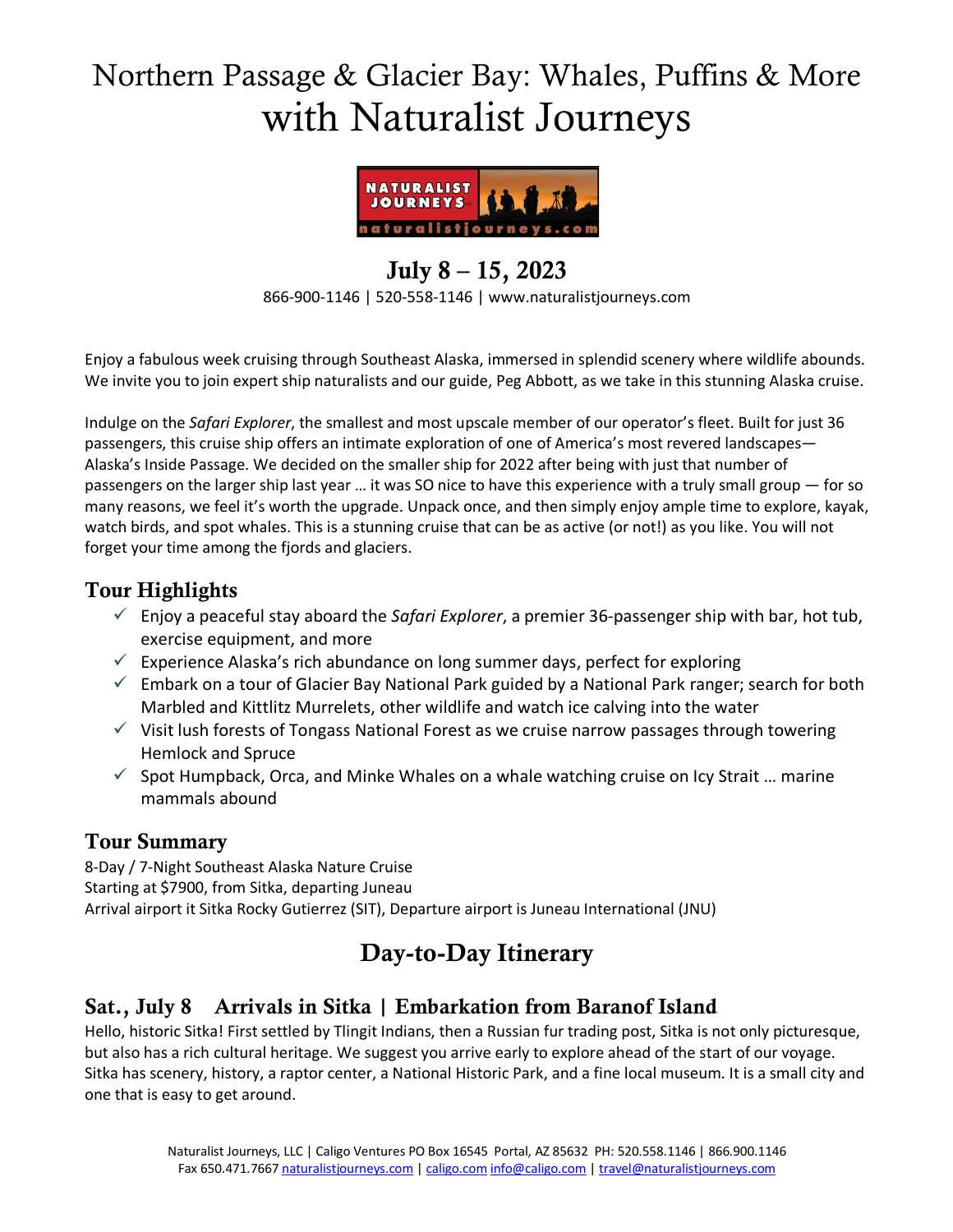# Northern Passage & Glacier Bay: Whales, Puffins & More with Naturalist Journeys



#### July 8 – 15, 2023 866-900-1146 | 520-558-1146 | www.naturalistjourneys.com

Enjoy a fabulous week cruising through Southeast Alaska, immersed in splendid scenery where wildlife abounds. We invite you to join expert ship naturalists and our guide, Peg Abbott, as we take in this stunning Alaska cruise.

Indulge on the *Safari Explorer*, the smallest and most upscale member of our operator's fleet. Built for just 36 passengers, this cruise ship offers an intimate exploration of one of America's most revered landscapes— Alaska's Inside Passage. We decided on the smaller ship for 2022 after being with just that number of passengers on the larger ship last year … it was SO nice to have this experience with a truly small group — for so many reasons, we feel it's worth the upgrade. Unpack once, and then simply enjoy ample time to explore, kayak, watch birds, and spot whales. This is a stunning cruise that can be as active (or not!) as you like. You will not forget your time among the fjords and glaciers.

#### Tour Highlights

- $\checkmark$  Enjoy a peaceful stay aboard the *Safari Explorer*, a premier 36-passenger ship with bar, hot tub, exercise equipment, and more
- $\checkmark$  Experience Alaska's rich abundance on long summer days, perfect for exploring
- $\checkmark$  Embark on a tour of Glacier Bay National Park guided by a National Park ranger; search for both Marbled and Kittlitz Murrelets, other wildlife and watch ice calving into the water
- $\checkmark$  Visit lush forests of Tongass National Forest as we cruise narrow passages through towering Hemlock and Spruce
- $\checkmark$  Spot Humpback, Orca, and Minke Whales on a whale watching cruise on Icy Strait ... marine mammals abound

#### Tour Summary

8-Day / 7-Night Southeast Alaska Nature Cruise Starting at \$7900, from Sitka, departing Juneau Arrival airport it Sitka Rocky Gutierrez (SIT), Departure airport is Juneau International (JNU)

# Day-to-Day Itinerary

# Sat., July 8 Arrivals in Sitka | Embarkation from Baranof Island

Hello, historic Sitka! First settled by Tlingit Indians, then a Russian fur trading post, Sitka is not only picturesque, but also has a rich cultural heritage. We suggest you arrive early to explore ahead of the start of our voyage. Sitka has scenery, history, a raptor center, a National Historic Park, and a fine local museum. It is a small city and one that is easy to get around.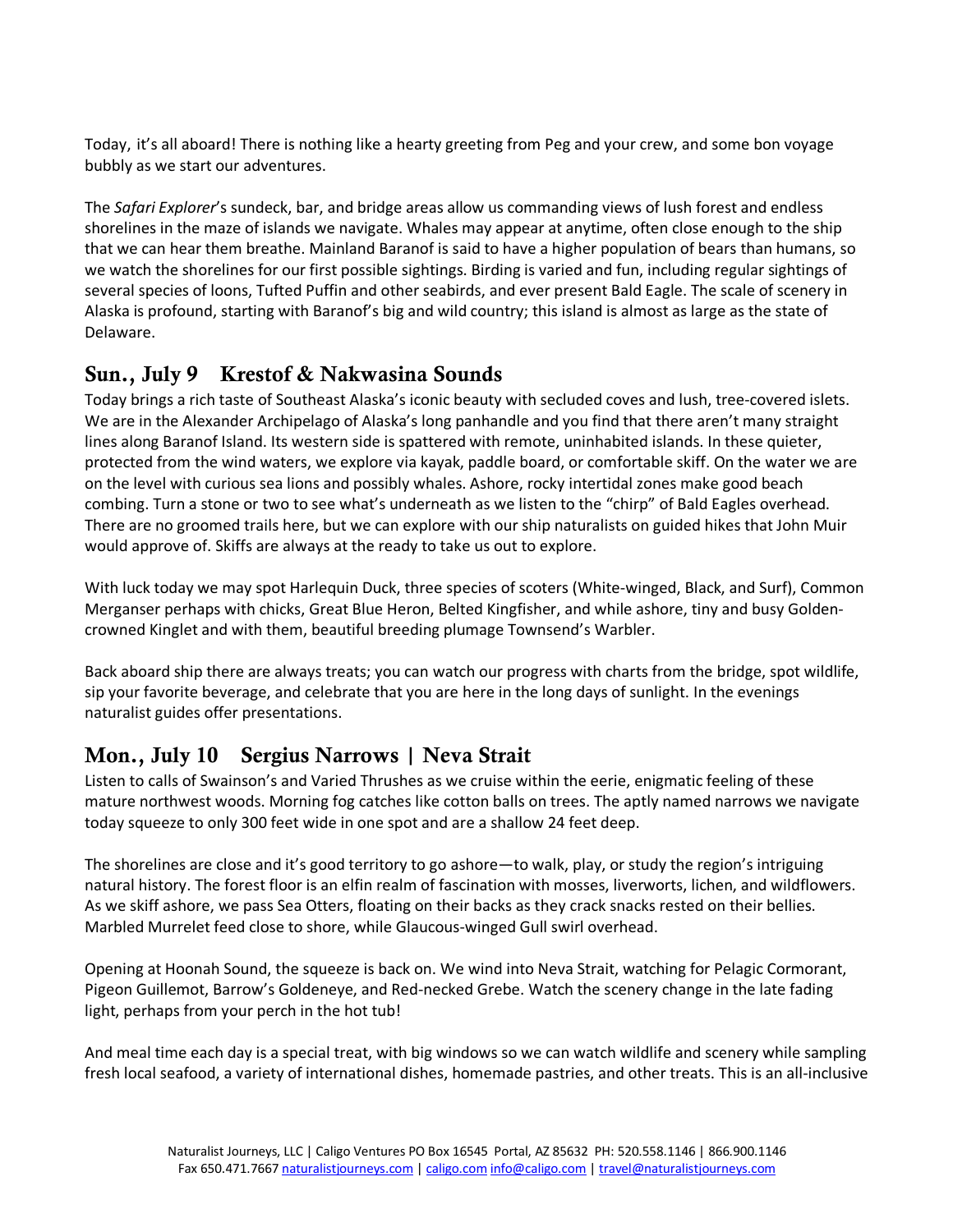Today, it's all aboard! There is nothing like a hearty greeting from Peg and your crew, and some bon voyage bubbly as we start our adventures.

The *Safari Explorer*'s sundeck, bar, and bridge areas allow us commanding views of lush forest and endless shorelines in the maze of islands we navigate. Whales may appear at anytime, often close enough to the ship that we can hear them breathe. Mainland Baranof is said to have a higher population of bears than humans, so we watch the shorelines for our first possible sightings. Birding is varied and fun, including regular sightings of several species of loons, Tufted Puffin and other seabirds, and ever present Bald Eagle. The scale of scenery in Alaska is profound, starting with Baranof's big and wild country; this island is almost as large as the state of Delaware.

## Sun., July 9 Krestof & Nakwasina Sounds

Today brings a rich taste of Southeast Alaska's iconic beauty with secluded coves and lush, tree-covered islets. We are in the Alexander Archipelago of Alaska's long panhandle and you find that there aren't many straight lines along Baranof Island. Its western side is spattered with remote, uninhabited islands. In these quieter, protected from the wind waters, we explore via kayak, paddle board, or comfortable skiff. On the water we are on the level with curious sea lions and possibly whales. Ashore, rocky intertidal zones make good beach combing. Turn a stone or two to see what's underneath as we listen to the "chirp" of Bald Eagles overhead. There are no groomed trails here, but we can explore with our ship naturalists on guided hikes that John Muir would approve of. Skiffs are always at the ready to take us out to explore.

With luck today we may spot Harlequin Duck, three species of scoters (White-winged, Black, and Surf), Common Merganser perhaps with chicks, Great Blue Heron, Belted Kingfisher, and while ashore, tiny and busy Goldencrowned Kinglet and with them, beautiful breeding plumage Townsend's Warbler.

Back aboard ship there are always treats; you can watch our progress with charts from the bridge, spot wildlife, sip your favorite beverage, and celebrate that you are here in the long days of sunlight. In the evenings naturalist guides offer presentations.

# Mon., July 10 Sergius Narrows | Neva Strait

Listen to calls of Swainson's and Varied Thrushes as we cruise within the eerie, enigmatic feeling of these mature northwest woods. Morning fog catches like cotton balls on trees. The aptly named narrows we navigate today squeeze to only 300 feet wide in one spot and are a shallow 24 feet deep.

The shorelines are close and it's good territory to go ashore—to walk, play, or study the region's intriguing natural history. The forest floor is an elfin realm of fascination with mosses, liverworts, lichen, and wildflowers. As we skiff ashore, we pass Sea Otters, floating on their backs as they crack snacks rested on their bellies. Marbled Murrelet feed close to shore, while Glaucous-winged Gull swirl overhead.

Opening at Hoonah Sound, the squeeze is back on. We wind into Neva Strait, watching for Pelagic Cormorant, Pigeon Guillemot, Barrow's Goldeneye, and Red-necked Grebe. Watch the scenery change in the late fading light, perhaps from your perch in the hot tub!

And meal time each day is a special treat, with big windows so we can watch wildlife and scenery while sampling fresh local seafood, a variety of international dishes, homemade pastries, and other treats. This is an all-inclusive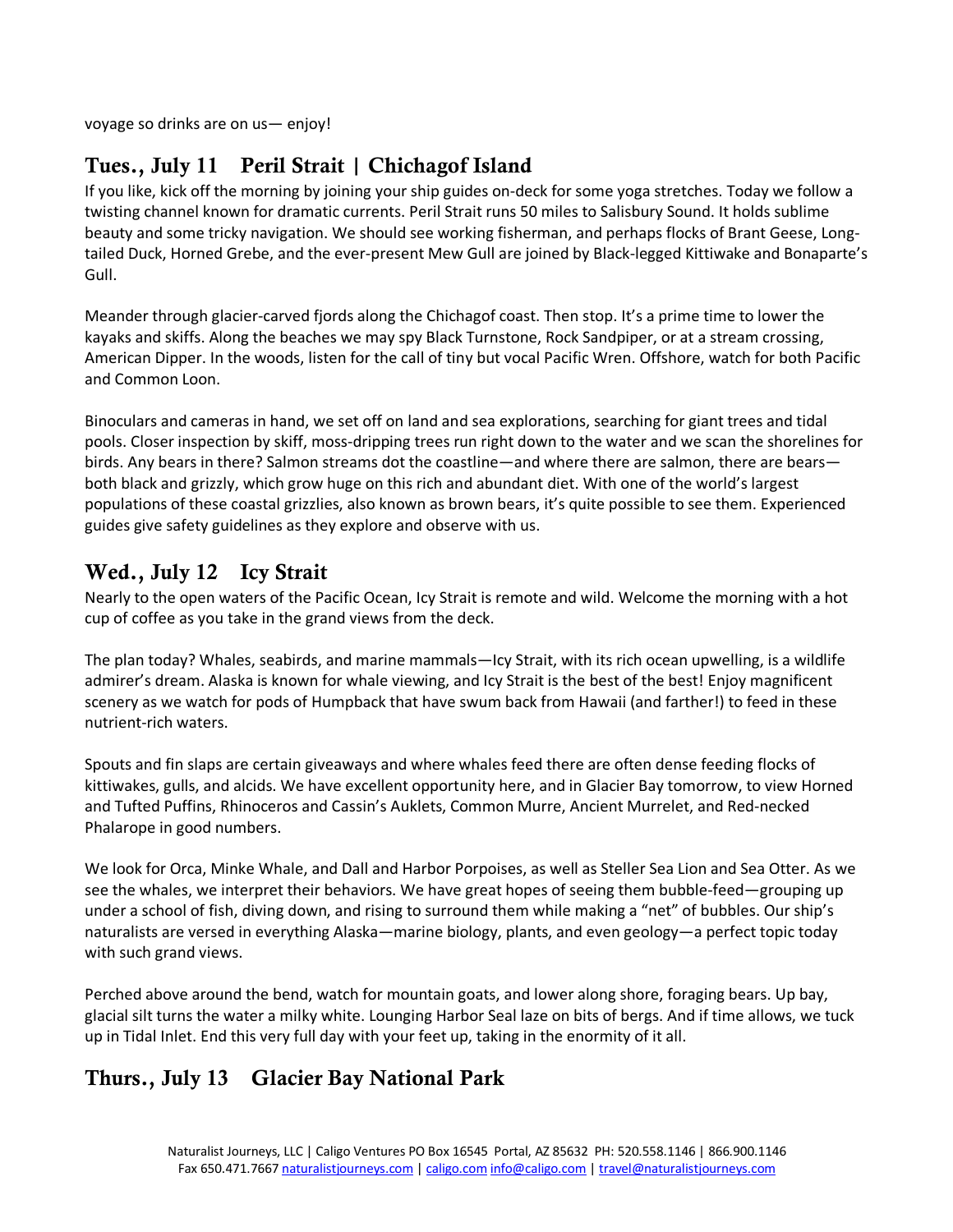voyage so drinks are on us— enjoy!

# Tues., July 11 Peril Strait | Chichagof Island

If you like, kick off the morning by joining your ship guides on-deck for some yoga stretches. Today we follow a twisting channel known for dramatic currents. Peril Strait runs 50 miles to Salisbury Sound. It holds sublime beauty and some tricky navigation. We should see working fisherman, and perhaps flocks of Brant Geese, Longtailed Duck, Horned Grebe, and the ever-present Mew Gull are joined by Black-legged Kittiwake and Bonaparte's Gull.

Meander through glacier-carved fjords along the Chichagof coast. Then stop. It's a prime time to lower the kayaks and skiffs. Along the beaches we may spy Black Turnstone, Rock Sandpiper, or at a stream crossing, American Dipper. In the woods, listen for the call of tiny but vocal Pacific Wren. Offshore, watch for both Pacific and Common Loon.

Binoculars and cameras in hand, we set off on land and sea explorations, searching for giant trees and tidal pools. Closer inspection by skiff, moss-dripping trees run right down to the water and we scan the shorelines for birds. Any bears in there? Salmon streams dot the coastline—and where there are salmon, there are bears both black and grizzly, which grow huge on this rich and abundant diet. With one of the world's largest populations of these coastal grizzlies, also known as brown bears, it's quite possible to see them. Experienced guides give safety guidelines as they explore and observe with us.

#### Wed., July 12 Icy Strait

Nearly to the open waters of the Pacific Ocean, Icy Strait is remote and wild. Welcome the morning with a hot cup of coffee as you take in the grand views from the deck.

The plan today? Whales, seabirds, and marine mammals—Icy Strait, with its rich ocean upwelling, is a wildlife admirer's dream. Alaska is known for whale viewing, and Icy Strait is the best of the best! Enjoy magnificent scenery as we watch for pods of Humpback that have swum back from Hawaii (and farther!) to feed in these nutrient-rich waters.

Spouts and fin slaps are certain giveaways and where whales feed there are often dense feeding flocks of kittiwakes, gulls, and alcids. We have excellent opportunity here, and in Glacier Bay tomorrow, to view Horned and Tufted Puffins, Rhinoceros and Cassin's Auklets, Common Murre, Ancient Murrelet, and Red-necked Phalarope in good numbers.

We look for Orca, Minke Whale, and Dall and Harbor Porpoises, as well as Steller Sea Lion and Sea Otter. As we see the whales, we interpret their behaviors. We have great hopes of seeing them bubble-feed—grouping up under a school of fish, diving down, and rising to surround them while making a "net" of bubbles. Our ship's naturalists are versed in everything Alaska—marine biology, plants, and even geology—a perfect topic today with such grand views.

Perched above around the bend, watch for mountain goats, and lower along shore, foraging bears. Up bay, glacial silt turns the water a milky white. Lounging Harbor Seal laze on bits of bergs. And if time allows, we tuck up in Tidal Inlet. End this very full day with your feet up, taking in the enormity of it all.

#### Thurs., July 13 Glacier Bay National Park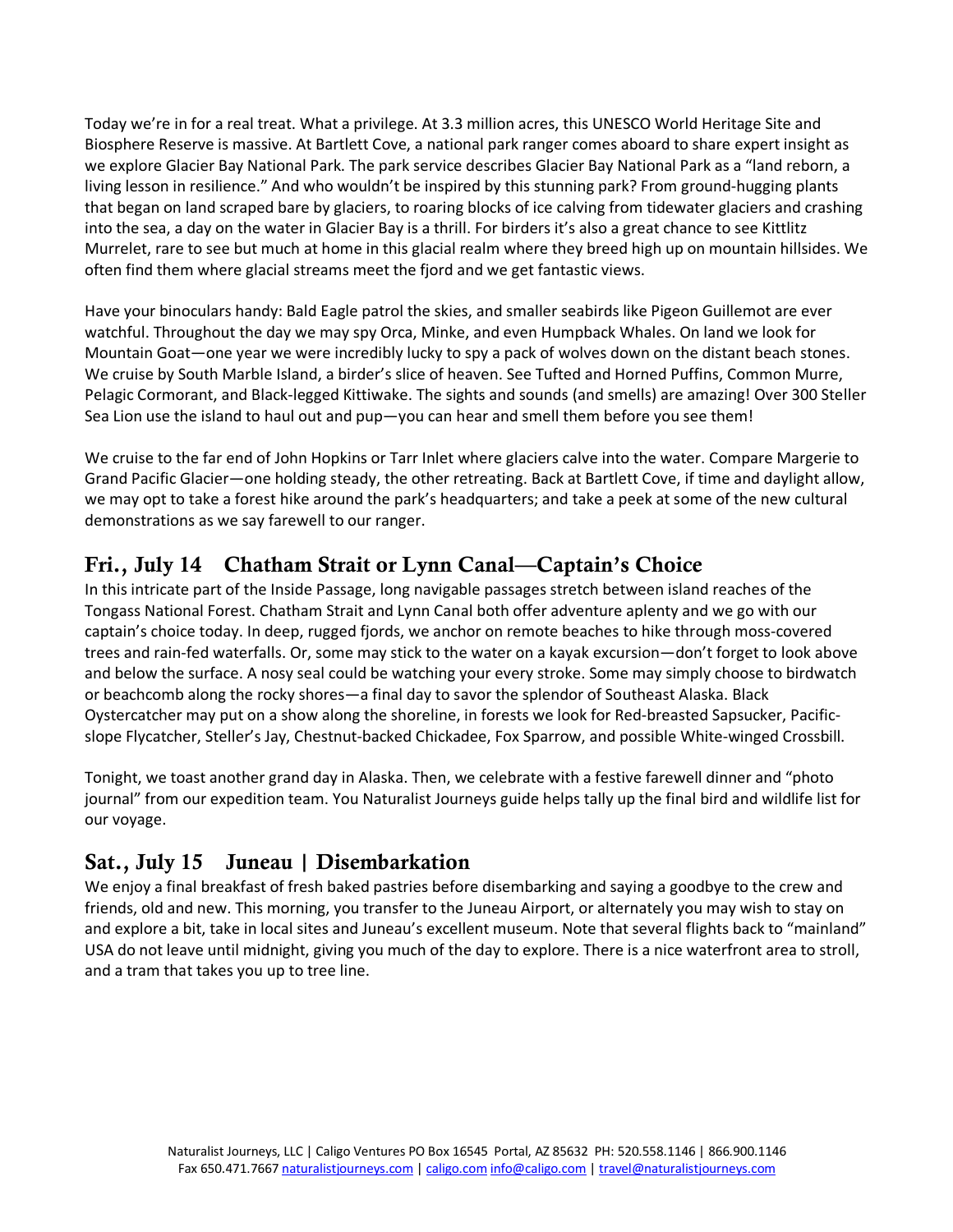Today we're in for a real treat. What a privilege. At 3.3 million acres, this UNESCO World Heritage Site and Biosphere Reserve is massive. At Bartlett Cove, a national park ranger comes aboard to share expert insight as we explore Glacier Bay National Park. The park service describes Glacier Bay National Park as a "land reborn, a living lesson in resilience." And who wouldn't be inspired by this stunning park? From ground-hugging plants that began on land scraped bare by glaciers, to roaring blocks of ice calving from tidewater glaciers and crashing into the sea, a day on the water in Glacier Bay is a thrill. For birders it's also a great chance to see Kittlitz Murrelet, rare to see but much at home in this glacial realm where they breed high up on mountain hillsides. We often find them where glacial streams meet the fjord and we get fantastic views.

Have your binoculars handy: Bald Eagle patrol the skies, and smaller seabirds like Pigeon Guillemot are ever watchful. Throughout the day we may spy Orca, Minke, and even Humpback Whales. On land we look for Mountain Goat—one year we were incredibly lucky to spy a pack of wolves down on the distant beach stones. We cruise by South Marble Island, a birder's slice of heaven. See Tufted and Horned Puffins, Common Murre, Pelagic Cormorant, and Black-legged Kittiwake. The sights and sounds (and smells) are amazing! Over 300 Steller Sea Lion use the island to haul out and pup—you can hear and smell them before you see them!

We cruise to the far end of John Hopkins or Tarr Inlet where glaciers calve into the water. Compare Margerie to Grand Pacific Glacier—one holding steady, the other retreating. Back at Bartlett Cove, if time and daylight allow, we may opt to take a forest hike around the park's headquarters; and take a peek at some of the new cultural demonstrations as we say farewell to our ranger.

# Fri., July 14 Chatham Strait or Lynn Canal—Captain's Choice

In this intricate part of the Inside Passage, long navigable passages stretch between island reaches of the Tongass National Forest. Chatham Strait and Lynn Canal both offer adventure aplenty and we go with our captain's choice today. In deep, rugged fjords, we anchor on remote beaches to hike through moss-covered trees and rain-fed waterfalls. Or, some may stick to the water on a kayak excursion—don't forget to look above and below the surface. A nosy seal could be watching your every stroke. Some may simply choose to birdwatch or beachcomb along the rocky shores—a final day to savor the splendor of Southeast Alaska. Black Oystercatcher may put on a show along the shoreline, in forests we look for Red-breasted Sapsucker, Pacificslope Flycatcher, Steller's Jay, Chestnut-backed Chickadee, Fox Sparrow, and possible White-winged Crossbill.

Tonight, we toast another grand day in Alaska. Then, we celebrate with a festive farewell dinner and "photo journal" from our expedition team. You Naturalist Journeys guide helps tally up the final bird and wildlife list for our voyage.

# Sat., July 15 Juneau | Disembarkation

We enjoy a final breakfast of fresh baked pastries before disembarking and saying a goodbye to the crew and friends, old and new. This morning, you transfer to the Juneau Airport, or alternately you may wish to stay on and explore a bit, take in local sites and Juneau's excellent museum. Note that several flights back to "mainland" USA do not leave until midnight, giving you much of the day to explore. There is a nice waterfront area to stroll, and a tram that takes you up to tree line.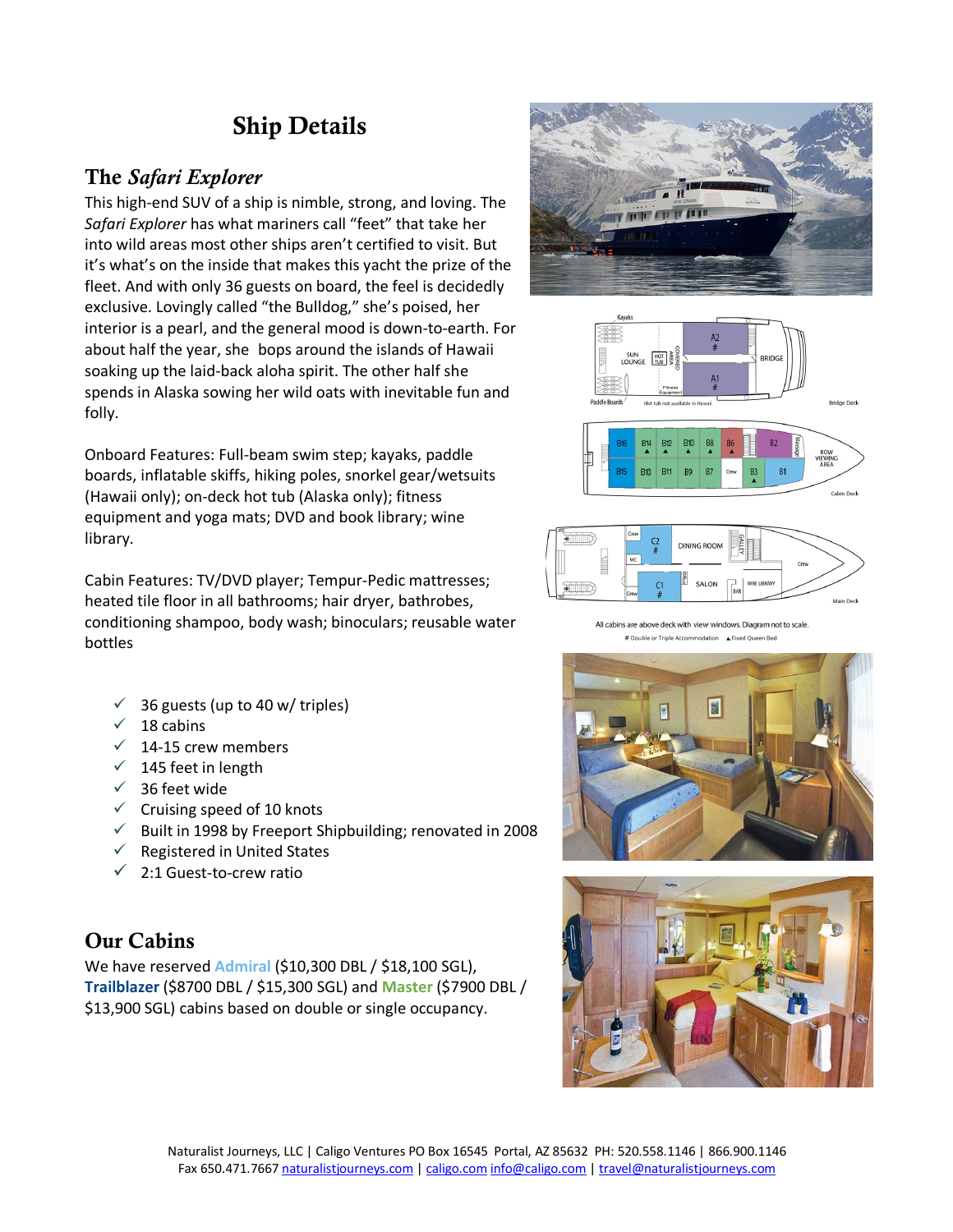# Ship Details

#### The *Safari Explorer*

This high-end SUV of a ship is nimble, strong, and loving. The *Safari Explorer* has what mariners call "feet" that take her into wild areas most other ships aren't certified to visit. But it's what's on the inside that makes this yacht the prize of the fleet. And with only 36 guests on board, the feel is decidedly exclusive. Lovingly called "the Bulldog," she's poised, her interior is a pearl, and the general mood is down-to-earth. For about half the year, she bops around the islands of Hawaii soaking up the laid-back aloha spirit. The other half she spends in Alaska sowing her wild oats with inevitable fun and folly.

Onboard Features: Full-beam swim step; kayaks, paddle boards, inflatable skiffs, hiking poles, snorkel gear/wetsuits (Hawaii only); on-deck hot tub (Alaska only); fitness equipment and yoga mats; DVD and book library; wine library.

Cabin Features: TV/DVD player; Tempur-Pedic mattresses; heated tile floor in all bathrooms; hair dryer, bathrobes, conditioning shampoo, body wash; binoculars; reusable water bottles

- $\checkmark$  36 guests (up to 40 w/ triples)
- $\checkmark$  18 cabins
- $\times$  14-15 crew members
- $\checkmark$  145 feet in length
- $\checkmark$  36 feet wide
- $\checkmark$  Cruising speed of 10 knots
- $\checkmark$  Built in 1998 by Freeport Shipbuilding; renovated in 2008
- $\checkmark$  Registered in United States
- $\checkmark$  2:1 Guest-to-crew ratio

#### Our Cabins

We have reserved **Admiral** (\$10,300 DBL / \$18,100 SGL), **Trailblazer** (\$8700 DBL / \$15,300 SGL) and **Master** (\$7900 DBL / \$13,900 SGL) cabins based on double or single occupancy.









All cabins are above deck with view windows. Diagram not to scale # Double or Triple Accommodation A Fixed Queen Bed